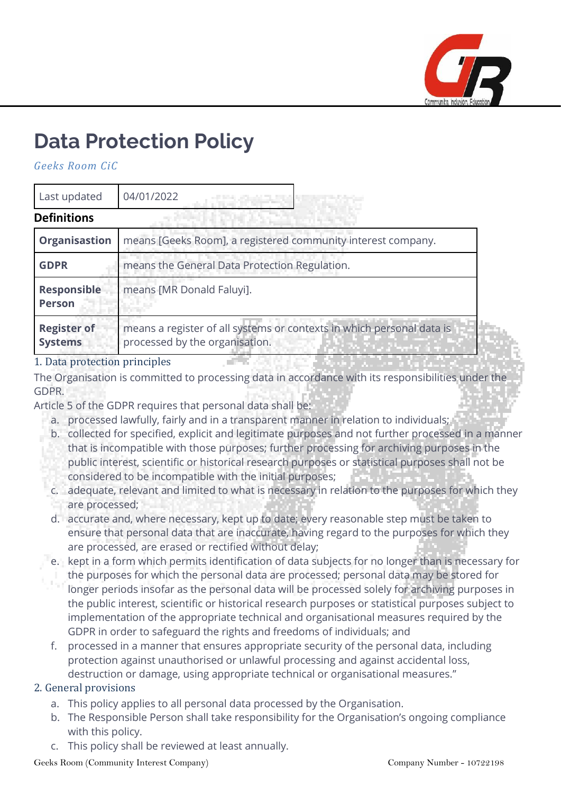

# **Data Protection Policy**

*Geeks Room CiC*

| Last updated                         | 04/01/2022                                                                                              |
|--------------------------------------|---------------------------------------------------------------------------------------------------------|
| <b>Definitions</b>                   |                                                                                                         |
| <b>Organisastion</b>                 | means [Geeks Room], a registered community interest company.                                            |
| <b>GDPR</b>                          | means the General Data Protection Regulation.                                                           |
| Responsible<br><b>Person</b>         | means [MR Donald Faluyi].                                                                               |
| <b>Register of</b><br><b>Systems</b> | means a register of all systems or contexts in which personal data is<br>processed by the organisation. |

#### 1. Data protection principles

The Organisation is committed to processing data in accordance with its responsibilities under the GDPR.

Article 5 of the GDPR requires that personal data shall be:

- a. processed lawfully, fairly and in a transparent manner in relation to individuals;
- b. collected for specified, explicit and legitimate purposes and not further processed in a manner that is incompatible with those purposes; further processing for archiving purposes in the public interest, scientific or historical research purposes or statistical purposes shall not be considered to be incompatible with the initial purposes;
- c. adequate, relevant and limited to what is necessary in relation to the purposes for which they are processed;
- d. accurate and, where necessary, kept up to date; every reasonable step must be taken to ensure that personal data that are inaccurate, having regard to the purposes for which they are processed, are erased or rectified without delay;
- e. kept in a form which permits identification of data subjects for no longer than is necessary for the purposes for which the personal data are processed; personal data may be stored for longer periods insofar as the personal data will be processed solely for archiving purposes in the public interest, scientific or historical research purposes or statistical purposes subject to implementation of the appropriate technical and organisational measures required by the GDPR in order to safeguard the rights and freedoms of individuals; and
- f. processed in a manner that ensures appropriate security of the personal data, including protection against unauthorised or unlawful processing and against accidental loss, destruction or damage, using appropriate technical or organisational measures."

# 2. General provisions

- a. This policy applies to all personal data processed by the Organisation.
- b. The Responsible Person shall take responsibility for the Organisation's ongoing compliance with this policy.
- c. This policy shall be reviewed at least annually.